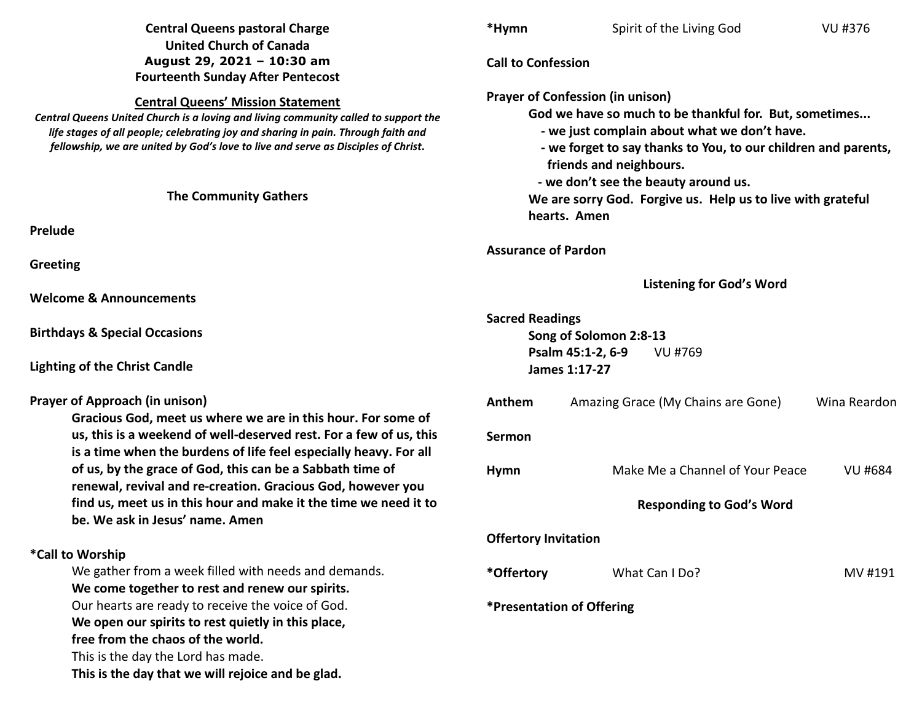| <b>Central Queens pastoral Charge</b><br><b>United Church of Canada</b>                                                                                                                                                                                                                                   | *Hymn                                                                                                                                                                                                                                          | Spirit of the Living God           | VU #376        |
|-----------------------------------------------------------------------------------------------------------------------------------------------------------------------------------------------------------------------------------------------------------------------------------------------------------|------------------------------------------------------------------------------------------------------------------------------------------------------------------------------------------------------------------------------------------------|------------------------------------|----------------|
| August 29, 2021 - 10:30 am<br><b>Fourteenth Sunday After Pentecost</b>                                                                                                                                                                                                                                    | <b>Call to Confession</b>                                                                                                                                                                                                                      |                                    |                |
| <b>Central Queens' Mission Statement</b><br>Central Queens United Church is a loving and living community called to support the<br>life stages of all people; celebrating joy and sharing in pain. Through faith and<br>fellowship, we are united by God's love to live and serve as Disciples of Christ. | <b>Prayer of Confession (in unison)</b><br>God we have so much to be thankful for. But, sometimes<br>- we just complain about what we don't have.<br>- we forget to say thanks to You, to our children and parents,<br>friends and neighbours. |                                    |                |
| <b>The Community Gathers</b>                                                                                                                                                                                                                                                                              | - we don't see the beauty around us.<br>We are sorry God. Forgive us. Help us to live with grateful<br>hearts. Amen                                                                                                                            |                                    |                |
| Prelude                                                                                                                                                                                                                                                                                                   |                                                                                                                                                                                                                                                |                                    |                |
| Greeting                                                                                                                                                                                                                                                                                                  | <b>Assurance of Pardon</b>                                                                                                                                                                                                                     |                                    |                |
| <b>Welcome &amp; Announcements</b>                                                                                                                                                                                                                                                                        |                                                                                                                                                                                                                                                | <b>Listening for God's Word</b>    |                |
| <b>Birthdays &amp; Special Occasions</b>                                                                                                                                                                                                                                                                  | <b>Sacred Readings</b><br>Song of Solomon 2:8-13<br>Psalm 45:1-2, 6-9                                                                                                                                                                          |                                    |                |
| <b>Lighting of the Christ Candle</b>                                                                                                                                                                                                                                                                      | VU #769<br>James 1:17-27                                                                                                                                                                                                                       |                                    |                |
| <b>Prayer of Approach (in unison)</b>                                                                                                                                                                                                                                                                     | Anthem                                                                                                                                                                                                                                         | Amazing Grace (My Chains are Gone) | Wina Reardon   |
| Gracious God, meet us where we are in this hour. For some of<br>us, this is a weekend of well-deserved rest. For a few of us, this<br>is a time when the burdens of life feel especially heavy. For all                                                                                                   | Sermon                                                                                                                                                                                                                                         |                                    |                |
| of us, by the grace of God, this can be a Sabbath time of<br>renewal, revival and re-creation. Gracious God, however you                                                                                                                                                                                  | <b>Hymn</b>                                                                                                                                                                                                                                    | Make Me a Channel of Your Peace    | <b>VU #684</b> |
| find us, meet us in this hour and make it the time we need it to<br>be. We ask in Jesus' name. Amen                                                                                                                                                                                                       |                                                                                                                                                                                                                                                | <b>Responding to God's Word</b>    |                |
|                                                                                                                                                                                                                                                                                                           |                                                                                                                                                                                                                                                | <b>Offertory Invitation</b>        |                |
| *Call to Worship                                                                                                                                                                                                                                                                                          |                                                                                                                                                                                                                                                |                                    |                |
| We gather from a week filled with needs and demands.<br>We come together to rest and renew our spirits.                                                                                                                                                                                                   | *Offertory                                                                                                                                                                                                                                     | What Can I Do?                     | MV #191        |
| Our hearts are ready to receive the voice of God.<br>We open our spirits to rest quietly in this place,<br>free from the chaos of the world.<br>This is the day the Lord has made.<br>This is the day that we will rejoice and be glad.                                                                   |                                                                                                                                                                                                                                                | *Presentation of Offering          |                |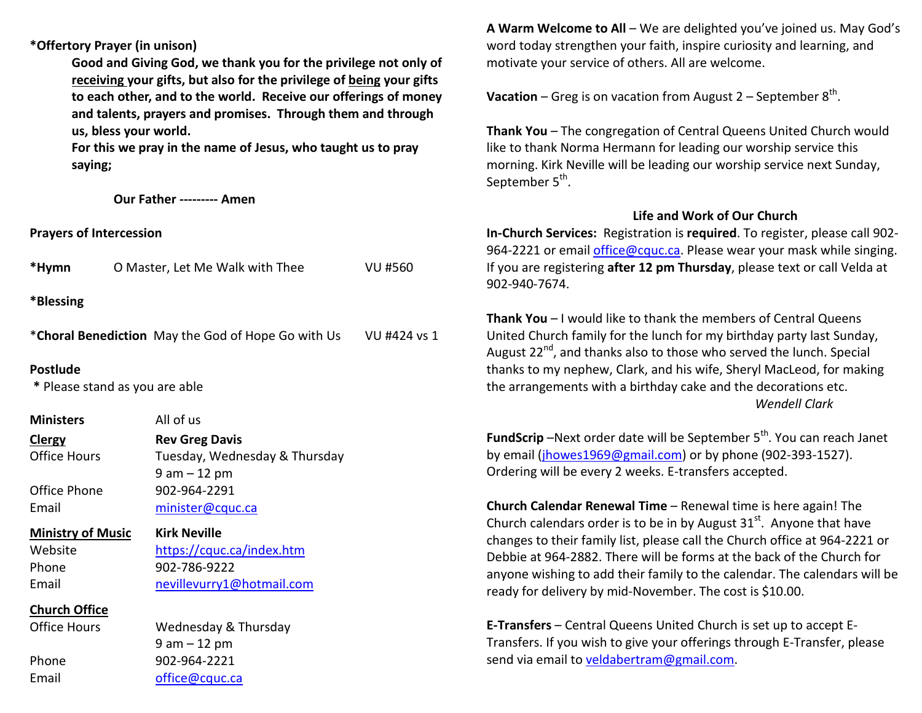**\*Offertory Prayer (in unison)** 

**Good and Giving God, we thank you for the privilege not only of receiving your gifts, but also for the privilege of being your gifts to each other, and to the world. Receive our offerings of money and talents, prayers and promises. Through them and through us, bless your world.** 

**For this we pray in the name of Jesus, who taught us to pray saying;** 

 **Our Father --------- Amen** 

**Prayers of Intercession** 

Email office@cquc.ca

| *Hymn                    | O Master, Let Me Walk with Thee                                 | <b>VU #560</b> |  |
|--------------------------|-----------------------------------------------------------------|----------------|--|
| *Blessing                |                                                                 |                |  |
|                          | *Choral Benediction May the God of Hope Go with Us VU #424 vs 1 |                |  |
| <b>Postlude</b>          | * Please stand as you are able                                  |                |  |
| <b>Ministers</b>         | All of us                                                       |                |  |
| <b>Clergy</b>            | <b>Rev Greg Davis</b>                                           |                |  |
| <b>Office Hours</b>      | Tuesday, Wednesday & Thursday                                   |                |  |
|                          | $9$ am $-12$ pm                                                 |                |  |
| Office Phone             | 902-964-2291                                                    |                |  |
| Email                    | minister@cquc.ca                                                |                |  |
| <b>Ministry of Music</b> | <b>Kirk Neville</b>                                             |                |  |
| Website                  | https://cquc.ca/index.htm                                       |                |  |
| Phone                    | 902-786-9222                                                    |                |  |
| Email                    | nevillevurry1@hotmail.com                                       |                |  |
| <b>Church Office</b>     |                                                                 |                |  |
| <b>Office Hours</b>      | Wednesday & Thursday                                            |                |  |
|                          | $9 am - 12 pm$                                                  |                |  |
| Phone                    | 902-964-2221                                                    |                |  |

**A Warm Welcome to All** – We are delighted you've joined us. May God's word today strengthen your faith, inspire curiosity and learning, and motivate your service of others. All are welcome.

**Vacation** – Greg is on vacation from August 2 – September  $8^{th}$ .

**Thank You** – The congregation of Central Queens United Church would like to thank Norma Hermann for leading our worship service this morning. Kirk Neville will be leading our worship service next Sunday, September 5<sup>th</sup>.

## **Life and Work of Our Church**

 **In-Church Services:** Registration is **required**. To register, please call 902-964-2221 or email <u>office@cquc.ca</u>. Please wear your mask while singing. If you are registering **after 12 pm Thursday**, please text or call Velda at 902-940-7674.

**Thank You** – I would like to thank the members of Central Queens United Church family for the lunch for my birthday party last Sunday, August  $22^{nd}$ , and thanks also to those who served the lunch. Special thanks to my nephew, Clark, and his wife, Sheryl MacLeod, for making the arrangements with a birthday cake and the decorations etc. *Wendell Clark* 

**FundScrip** –Next order date will be September 5<sup>th</sup>. You can reach Janet by email (jhowes1969@gmail.com) or by phone (902-393-1527). Ordering will be every 2 weeks. E-transfers accepted.

**Church Calendar Renewal Time** – Renewal time is here again! The Church calendars order is to be in by August 31<sup>st</sup>. Anyone that have changes to their family list, please call the Church office at 964-2221 or Debbie at 964-2882. There will be forms at the back of the Church for anyone wishing to add their family to the calendar. The calendars will be ready for delivery by mid-November. The cost is \$10.00.

**E-Transfers** – Central Queens United Church is set up to accept E-Transfers. If you wish to give your offerings through E-Transfer, please send via email to veldabertram@gmail.com.